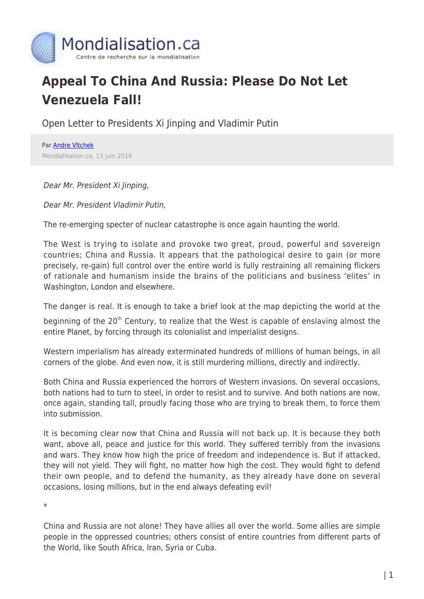

## **Appeal To China And Russia: Please Do Not Let Venezuela Fall!**

Open Letter to Presidents Xi Jinping and Vladimir Putin

Par [Andre Vltchek](https://www.mondialisation.ca/author/andre-vltchek) Mondialisation.ca, 13 juin 2016

## Dear Mr. President Xi Jinping,

Dear Mr. President Vladimir Putin,

The re-emerging specter of nuclear catastrophe is once again haunting the world.

The West is trying to isolate and provoke two great, proud, powerful and sovereign countries; China and Russia. It appears that the pathological desire to gain (or more precisely, re-gain) full control over the entire world is fully restraining all remaining flickers of rationale and humanism inside the brains of the politicians and business 'elites' in Washington, London and elsewhere.

The danger is real. It is enough to take a brief look at the map depicting the world at the

beginning of the  $20<sup>th</sup>$  Century, to realize that the West is capable of enslaving almost the entire Planet, by forcing through its colonialist and imperialist designs.

Western imperialism has already exterminated hundreds of millions of human beings, in all corners of the globe. And even now, it is still murdering millions, directly and indirectly.

Both China and Russia experienced the horrors of Western invasions. On several occasions, both nations had to turn to steel, in order to resist and to survive. And both nations are now, once again, standing tall, proudly facing those who are trying to break them, to force them into submission.

It is becoming clear now that China and Russia will not back up. It is because they both want, above all, peace and justice for this world. They suffered terribly from the invasions and wars. They know how high the price of freedom and independence is. But if attacked, they will not yield. They will fight, no matter how high the cost. They would fight to defend their own people, and to defend the humanity, as they already have done on several occasions, losing millions, but in the end always defeating evil!

\*

China and Russia are not alone! They have allies all over the world. Some allies are simple people in the oppressed countries; others consist of entire countries from different parts of the World, like South Africa, Iran, Syria or Cuba.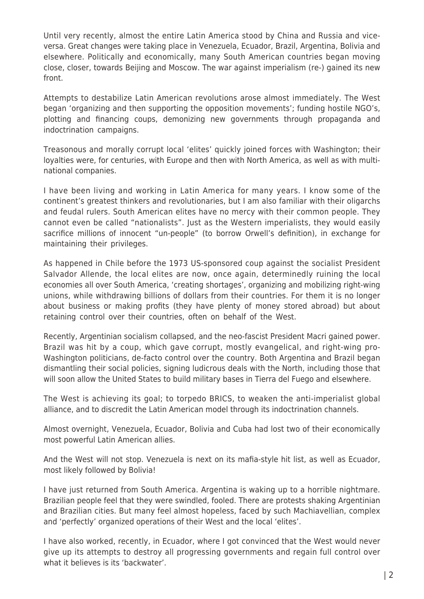Until very recently, almost the entire Latin America stood by China and Russia and viceversa. Great changes were taking place in Venezuela, Ecuador, Brazil, Argentina, Bolivia and elsewhere. Politically and economically, many South American countries began moving close, closer, towards Beijing and Moscow. The war against imperialism (re-) gained its new front.

Attempts to destabilize Latin American revolutions arose almost immediately. The West began 'organizing and then supporting the opposition movements'; funding hostile NGO's, plotting and financing coups, demonizing new governments through propaganda and indoctrination campaigns.

Treasonous and morally corrupt local 'elites' quickly joined forces with Washington; their loyalties were, for centuries, with Europe and then with North America, as well as with multinational companies.

I have been living and working in Latin America for many years. I know some of the continent's greatest thinkers and revolutionaries, but I am also familiar with their oligarchs and feudal rulers. South American elites have no mercy with their common people. They cannot even be called "nationalists". Just as the Western imperialists, they would easily sacrifice millions of innocent "un-people" (to borrow Orwell's definition), in exchange for maintaining their privileges.

As happened in Chile before the 1973 US-sponsored coup against the socialist President Salvador Allende, the local elites are now, once again, determinedly ruining the local economies all over South America, 'creating shortages', organizing and mobilizing right-wing unions, while withdrawing billions of dollars from their countries. For them it is no longer about business or making profits (they have plenty of money stored abroad) but about retaining control over their countries, often on behalf of the West.

Recently, Argentinian socialism collapsed, and the neo-fascist President Macri gained power. Brazil was hit by a coup, which gave corrupt, mostly evangelical, and right-wing pro-Washington politicians, de-facto control over the country. Both Argentina and Brazil began dismantling their social policies, signing ludicrous deals with the North, including those that will soon allow the United States to build military bases in Tierra del Fuego and elsewhere.

The West is achieving its goal; to torpedo BRICS, to weaken the anti-imperialist global alliance, and to discredit the Latin American model through its indoctrination channels.

Almost overnight, Venezuela, Ecuador, Bolivia and Cuba had lost two of their economically most powerful Latin American allies.

And the West will not stop. Venezuela is next on its mafia-style hit list, as well as Ecuador, most likely followed by Bolivia!

I have just returned from South America. Argentina is waking up to a horrible nightmare. Brazilian people feel that they were swindled, fooled. There are protests shaking Argentinian and Brazilian cities. But many feel almost hopeless, faced by such Machiavellian, complex and 'perfectly' organized operations of their West and the local 'elites'.

I have also worked, recently, in Ecuador, where I got convinced that the West would never give up its attempts to destroy all progressing governments and regain full control over what it believes is its 'backwater'.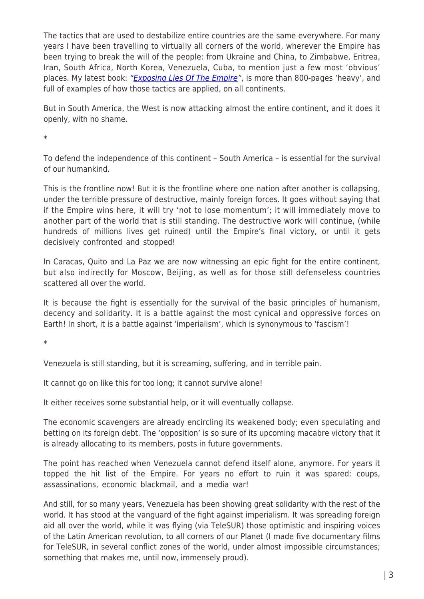The tactics that are used to destabilize entire countries are the same everywhere. For many years I have been travelling to virtually all corners of the world, wherever the Empire has been trying to break the will of the people: from Ukraine and China, to Zimbabwe, Eritrea, Iran, South Africa, North Korea, Venezuela, Cuba, to mention just a few most 'obvious' places. My latest book: "[Exposing Lies Of The Empire"](http://www.amazon.com/Exposing-Lies-Empire-Andre-Vltchek/dp/6027005866), is more than 800-pages 'heavy', and full of examples of how those tactics are applied, on all continents.

But in South America, the West is now attacking almost the entire continent, and it does it openly, with no shame.

\*

To defend the independence of this continent – South America – is essential for the survival of our humankind.

This is the frontline now! But it is the frontline where one nation after another is collapsing, under the terrible pressure of destructive, mainly foreign forces. It goes without saying that if the Empire wins here, it will try 'not to lose momentum'; it will immediately move to another part of the world that is still standing. The destructive work will continue, (while hundreds of millions lives get ruined) until the Empire's final victory, or until it gets decisively confronted and stopped!

In Caracas, Quito and La Paz we are now witnessing an epic fight for the entire continent, but also indirectly for Moscow, Beijing, as well as for those still defenseless countries scattered all over the world.

It is because the fight is essentially for the survival of the basic principles of humanism, decency and solidarity. It is a battle against the most cynical and oppressive forces on Earth! In short, it is a battle against 'imperialism', which is synonymous to 'fascism'!

\*

Venezuela is still standing, but it is screaming, suffering, and in terrible pain.

It cannot go on like this for too long; it cannot survive alone!

It either receives some substantial help, or it will eventually collapse.

The economic scavengers are already encircling its weakened body; even speculating and betting on its foreign debt. The 'opposition' is so sure of its upcoming macabre victory that it is already allocating to its members, posts in future governments.

The point has reached when Venezuela cannot defend itself alone, anymore. For years it topped the hit list of the Empire. For years no effort to ruin it was spared: coups, assassinations, economic blackmail, and a media war!

And still, for so many years, Venezuela has been showing great solidarity with the rest of the world. It has stood at the vanguard of the fight against imperialism. It was spreading foreign aid all over the world, while it was flying (via TeleSUR) those optimistic and inspiring voices of the Latin American revolution, to all corners of our Planet (I made five documentary films for TeleSUR, in several conflict zones of the world, under almost impossible circumstances; something that makes me, until now, immensely proud).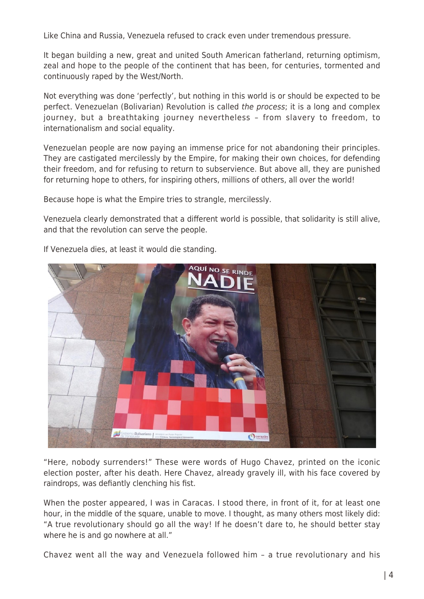Like China and Russia, Venezuela refused to crack even under tremendous pressure.

It began building a new, great and united South American fatherland, returning optimism, zeal and hope to the people of the continent that has been, for centuries, tormented and continuously raped by the West/North.

Not everything was done 'perfectly', but nothing in this world is or should be expected to be perfect. Venezuelan (Bolivarian) Revolution is called the process; it is a long and complex journey, but a breathtaking journey nevertheless – from slavery to freedom, to internationalism and social equality.

Venezuelan people are now paying an immense price for not abandoning their principles. They are castigated mercilessly by the Empire, for making their own choices, for defending their freedom, and for refusing to return to subservience. But above all, they are punished for returning hope to others, for inspiring others, millions of others, all over the world!

Because hope is what the Empire tries to strangle, mercilessly.

Venezuela clearly demonstrated that a different world is possible, that solidarity is still alive, and that the revolution can serve the people.



If Venezuela dies, at least it would die standing.

"Here, nobody surrenders!" These were words of Hugo Chavez, printed on the iconic election poster, after his death. Here Chavez, already gravely ill, with his face covered by raindrops, was defiantly clenching his fist.

When the poster appeared, I was in Caracas. I stood there, in front of it, for at least one hour, in the middle of the square, unable to move. I thought, as many others most likely did: "A true revolutionary should go all the way! If he doesn't dare to, he should better stay where he is and go nowhere at all."

Chavez went all the way and Venezuela followed him – a true revolutionary and his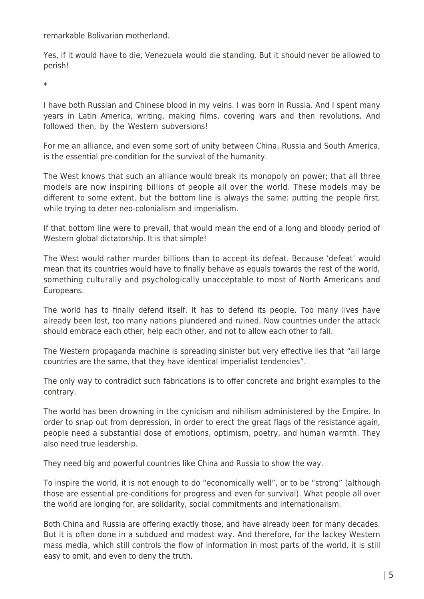remarkable Bolivarian motherland.

Yes, if it would have to die, Venezuela would die standing. But it should never be allowed to perish!

\*

I have both Russian and Chinese blood in my veins. I was born in Russia. And I spent many years in Latin America, writing, making films, covering wars and then revolutions. And followed then, by the Western subversions!

For me an alliance, and even some sort of unity between China, Russia and South America, is the essential pre-condition for the survival of the humanity.

The West knows that such an alliance would break its monopoly on power; that all three models are now inspiring billions of people all over the world. These models may be different to some extent, but the bottom line is always the same: putting the people first, while trying to deter neo-colonialism and imperialism.

If that bottom line were to prevail, that would mean the end of a long and bloody period of Western global dictatorship. It is that simple!

The West would rather murder billions than to accept its defeat. Because 'defeat' would mean that its countries would have to finally behave as equals towards the rest of the world, something culturally and psychologically unacceptable to most of North Americans and Europeans.

The world has to finally defend itself. It has to defend its people. Too many lives have already been lost, too many nations plundered and ruined. Now countries under the attack should embrace each other, help each other, and not to allow each other to fall.

The Western propaganda machine is spreading sinister but very effective lies that "all large countries are the same, that they have identical imperialist tendencies".

The only way to contradict such fabrications is to offer concrete and bright examples to the contrary.

The world has been drowning in the cynicism and nihilism administered by the Empire. In order to snap out from depression, in order to erect the great flags of the resistance again, people need a substantial dose of emotions, optimism, poetry, and human warmth. They also need true leadership.

They need big and powerful countries like China and Russia to show the way.

To inspire the world, it is not enough to do "economically well", or to be "strong" (although those are essential pre-conditions for progress and even for survival). What people all over the world are longing for, are solidarity, social commitments and internationalism.

Both China and Russia are offering exactly those, and have already been for many decades. But it is often done in a subdued and modest way. And therefore, for the lackey Western mass media, which still controls the flow of information in most parts of the world, it is still easy to omit, and even to deny the truth.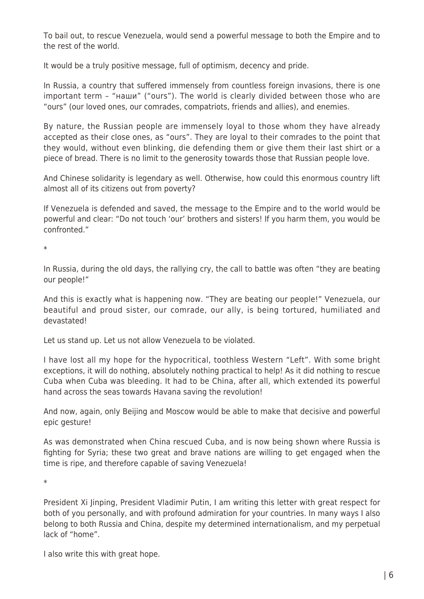To bail out, to rescue Venezuela, would send a powerful message to both the Empire and to the rest of the world.

It would be a truly positive message, full of optimism, decency and pride.

In Russia, a country that suffered immensely from countless foreign invasions, there is one important term – "наши" ("ours"). The world is clearly divided between those who are "ours" (our loved ones, our comrades, compatriots, friends and allies), and enemies.

By nature, the Russian people are immensely loyal to those whom they have already accepted as their close ones, as "ours". They are loyal to their comrades to the point that they would, without even blinking, die defending them or give them their last shirt or a piece of bread. There is no limit to the generosity towards those that Russian people love.

And Chinese solidarity is legendary as well. Otherwise, how could this enormous country lift almost all of its citizens out from poverty?

If Venezuela is defended and saved, the message to the Empire and to the world would be powerful and clear: "Do not touch 'our' brothers and sisters! If you harm them, you would be confronted."

\*

In Russia, during the old days, the rallying cry, the call to battle was often "they are beating our people!"

And this is exactly what is happening now. "They are beating our people!" Venezuela, our beautiful and proud sister, our comrade, our ally, is being tortured, humiliated and devastated!

Let us stand up. Let us not allow Venezuela to be violated.

I have lost all my hope for the hypocritical, toothless Western "Left". With some bright exceptions, it will do nothing, absolutely nothing practical to help! As it did nothing to rescue Cuba when Cuba was bleeding. It had to be China, after all, which extended its powerful hand across the seas towards Havana saving the revolution!

And now, again, only Beijing and Moscow would be able to make that decisive and powerful epic gesture!

As was demonstrated when China rescued Cuba, and is now being shown where Russia is fighting for Syria; these two great and brave nations are willing to get engaged when the time is ripe, and therefore capable of saving Venezuela!

\*

President Xi Jinping, President Vladimir Putin, I am writing this letter with great respect for both of you personally, and with profound admiration for your countries. In many ways I also belong to both Russia and China, despite my determined internationalism, and my perpetual lack of "home".

I also write this with great hope.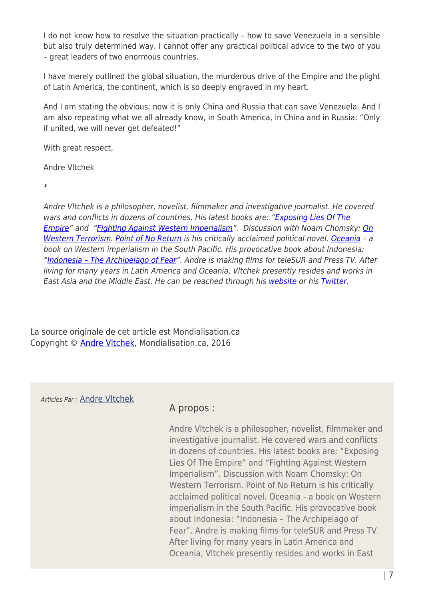I do not know how to resolve the situation practically – how to save Venezuela in a sensible but also truly determined way. I cannot offer any practical political advice to the two of you – great leaders of two enormous countries.

I have merely outlined the global situation, the murderous drive of the Empire and the plight of Latin America, the continent, which is so deeply engraved in my heart.

And I am stating the obvious: now it is only China and Russia that can save Venezuela. And I am also repeating what we all already know, in South America, in China and in Russia: "Only if united, we will never get defeated!"

With great respect,

Andre Vltchek

\*

Andre Vltchek is a philosopher, novelist, filmmaker and investigative journalist. He covered wars and conflicts in dozens of countries. His latest books are: ["Exposing Lies Of The](http://www.amazon.com/Exposing-Lies-Empire-Andre-Vltchek/dp/6027005866) [Empire](http://www.amazon.com/Exposing-Lies-Empire-Andre-Vltchek/dp/6027005866)" and ["Fighting Against Western Imperialism"](http://www.amazon.com/Fighting-Against-Western-Imperialism-Vltchek/dp/6027005823). Discussion with Noam Chomsky: [On](http://www.plutobooks.com/display.asp?K=9780745333878) [Western Terrorism.](http://www.plutobooks.com/display.asp?K=9780745333878) [Point of No Return](http://www.amazon.com/exec/obidos/ASIN/0977459071/counterpunchmaga) is his critically acclaimed political novel. [Oceania](http://www.amazon.com/exec/obidos/ASIN/1409298035/counterpunchmaga) - a book on Western imperialism in the South Pacific. His provocative book about Indonesia: "Indonesia - The Archipelago of Fear". Andre is making films for teleSUR and Press TV. After living for many years in Latin America and Oceania, Vltchek presently resides and works in East Asia and the Middle East. He can be reached through his [website](http://andrevltchek.weebly.com/) or his [Twitter.](https://twitter.com/AndreVltchek)

La source originale de cet article est Mondialisation.ca Copyright © [Andre Vltchek,](https://www.mondialisation.ca/author/andre-vltchek) Mondialisation.ca, 2016

Articles Par : [Andre Vltchek](https://www.mondialisation.ca/author/andre-vltchek)

## A propos :

Andre Vltchek is a philosopher, novelist, filmmaker and investigative journalist. He covered wars and conflicts in dozens of countries. His latest books are: "Exposing Lies Of The Empire" and "Fighting Against Western Imperialism". Discussion with Noam Chomsky: On Western Terrorism. Point of No Return is his critically acclaimed political novel. Oceania - a book on Western imperialism in the South Pacific. His provocative book about Indonesia: "Indonesia – The Archipelago of Fear". Andre is making films for teleSUR and Press TV. After living for many years in Latin America and Oceania, Vltchek presently resides and works in East